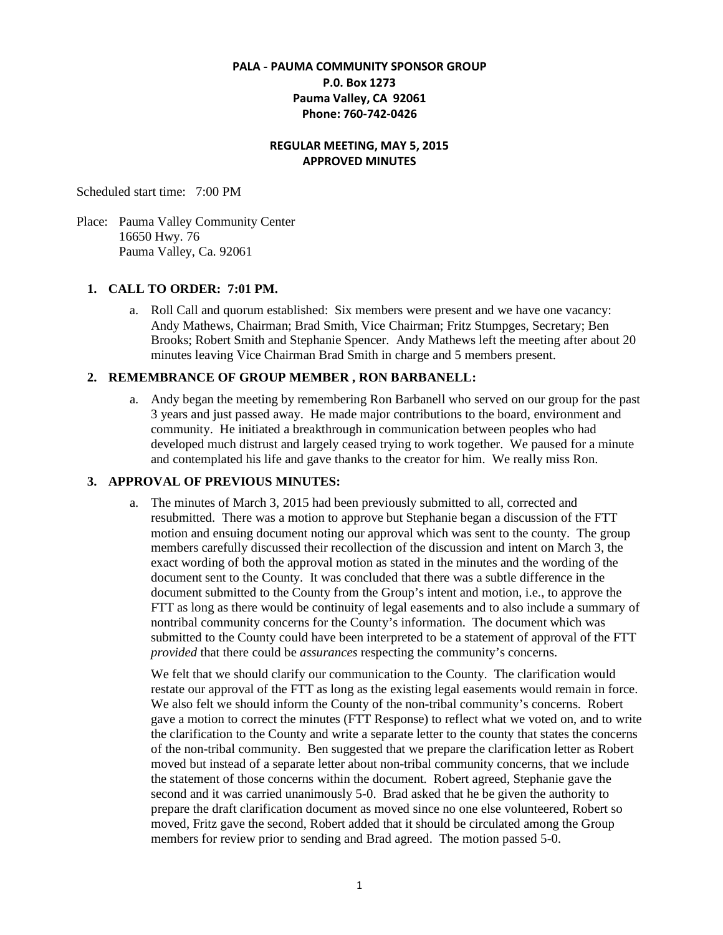# **PALA - PAUMA COMMUNITY SPONSOR GROUP P.0. Box 1273 Pauma Valley, CA 92061 Phone: 760-742-0426**

#### **REGULAR MEETING, MAY 5, 2015 APPROVED MINUTES**

Scheduled start time: 7:00 PM

Place: Pauma Valley Community Center 16650 Hwy. 76 Pauma Valley, Ca. 92061

#### **1. CALL TO ORDER: 7:01 PM.**

a. Roll Call and quorum established: Six members were present and we have one vacancy: Andy Mathews, Chairman; Brad Smith, Vice Chairman; Fritz Stumpges, Secretary; Ben Brooks; Robert Smith and Stephanie Spencer. Andy Mathews left the meeting after about 20 minutes leaving Vice Chairman Brad Smith in charge and 5 members present.

#### **2. REMEMBRANCE OF GROUP MEMBER , RON BARBANELL:**

a. Andy began the meeting by remembering Ron Barbanell who served on our group for the past 3 years and just passed away. He made major contributions to the board, environment and community. He initiated a breakthrough in communication between peoples who had developed much distrust and largely ceased trying to work together. We paused for a minute and contemplated his life and gave thanks to the creator for him. We really miss Ron.

# **3. APPROVAL OF PREVIOUS MINUTES:**

a. The minutes of March 3, 2015 had been previously submitted to all, corrected and resubmitted. There was a motion to approve but Stephanie began a discussion of the FTT motion and ensuing document noting our approval which was sent to the county. The group members carefully discussed their recollection of the discussion and intent on March 3, the exact wording of both the approval motion as stated in the minutes and the wording of the document sent to the County. It was concluded that there was a subtle difference in the document submitted to the County from the Group's intent and motion, i.e., to approve the FTT as long as there would be continuity of legal easements and to also include a summary of nontribal community concerns for the County's information. The document which was submitted to the County could have been interpreted to be a statement of approval of the FTT *provided* that there could be *assurances* respecting the community's concerns.

We felt that we should clarify our communication to the County. The clarification would restate our approval of the FTT as long as the existing legal easements would remain in force. We also felt we should inform the County of the non-tribal community's concerns. Robert gave a motion to correct the minutes (FTT Response) to reflect what we voted on, and to write the clarification to the County and write a separate letter to the county that states the concerns of the non-tribal community. Ben suggested that we prepare the clarification letter as Robert moved but instead of a separate letter about non-tribal community concerns, that we include the statement of those concerns within the document. Robert agreed, Stephanie gave the second and it was carried unanimously 5-0. Brad asked that he be given the authority to prepare the draft clarification document as moved since no one else volunteered, Robert so moved, Fritz gave the second, Robert added that it should be circulated among the Group members for review prior to sending and Brad agreed. The motion passed 5-0.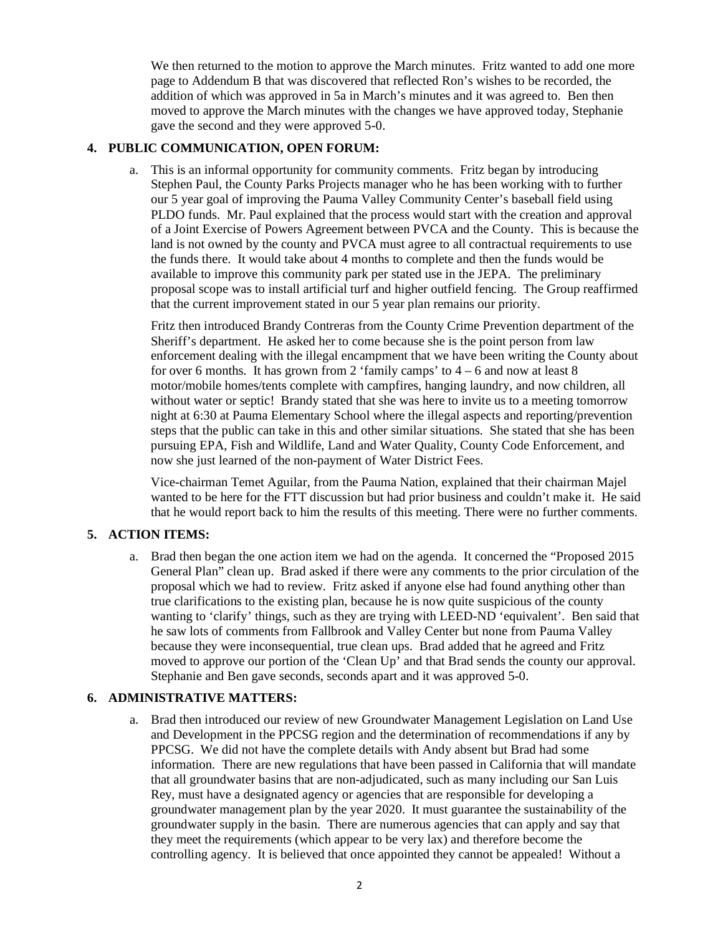We then returned to the motion to approve the March minutes. Fritz wanted to add one more page to Addendum B that was discovered that reflected Ron's wishes to be recorded, the addition of which was approved in 5a in March's minutes and it was agreed to. Ben then moved to approve the March minutes with the changes we have approved today, Stephanie gave the second and they were approved 5-0.

#### **4. PUBLIC COMMUNICATION, OPEN FORUM:**

a. This is an informal opportunity for community comments. Fritz began by introducing Stephen Paul, the County Parks Projects manager who he has been working with to further our 5 year goal of improving the Pauma Valley Community Center's baseball field using PLDO funds. Mr. Paul explained that the process would start with the creation and approval of a Joint Exercise of Powers Agreement between PVCA and the County. This is because the land is not owned by the county and PVCA must agree to all contractual requirements to use the funds there. It would take about 4 months to complete and then the funds would be available to improve this community park per stated use in the JEPA. The preliminary proposal scope was to install artificial turf and higher outfield fencing. The Group reaffirmed that the current improvement stated in our 5 year plan remains our priority.

Fritz then introduced Brandy Contreras from the County Crime Prevention department of the Sheriff's department. He asked her to come because she is the point person from law enforcement dealing with the illegal encampment that we have been writing the County about for over 6 months. It has grown from 2 'family camps' to  $4 - 6$  and now at least 8 motor/mobile homes/tents complete with campfires, hanging laundry, and now children, all without water or septic! Brandy stated that she was here to invite us to a meeting tomorrow night at 6:30 at Pauma Elementary School where the illegal aspects and reporting/prevention steps that the public can take in this and other similar situations. She stated that she has been pursuing EPA, Fish and Wildlife, Land and Water Quality, County Code Enforcement, and now she just learned of the non-payment of Water District Fees.

Vice-chairman Temet Aguilar, from the Pauma Nation, explained that their chairman Majel wanted to be here for the FTT discussion but had prior business and couldn't make it. He said that he would report back to him the results of this meeting. There were no further comments.

# **5. ACTION ITEMS:**

a. Brad then began the one action item we had on the agenda. It concerned the "Proposed 2015 General Plan" clean up. Brad asked if there were any comments to the prior circulation of the proposal which we had to review. Fritz asked if anyone else had found anything other than true clarifications to the existing plan, because he is now quite suspicious of the county wanting to 'clarify' things, such as they are trying with LEED-ND 'equivalent'. Ben said that he saw lots of comments from Fallbrook and Valley Center but none from Pauma Valley because they were inconsequential, true clean ups. Brad added that he agreed and Fritz moved to approve our portion of the 'Clean Up' and that Brad sends the county our approval. Stephanie and Ben gave seconds, seconds apart and it was approved 5-0.

# **6. ADMINISTRATIVE MATTERS:**

a. Brad then introduced our review of new Groundwater Management Legislation on Land Use and Development in the PPCSG region and the determination of recommendations if any by PPCSG. We did not have the complete details with Andy absent but Brad had some information. There are new regulations that have been passed in California that will mandate that all groundwater basins that are non-adjudicated, such as many including our San Luis Rey, must have a designated agency or agencies that are responsible for developing a groundwater management plan by the year 2020. It must guarantee the sustainability of the groundwater supply in the basin. There are numerous agencies that can apply and say that they meet the requirements (which appear to be very lax) and therefore become the controlling agency. It is believed that once appointed they cannot be appealed! Without a